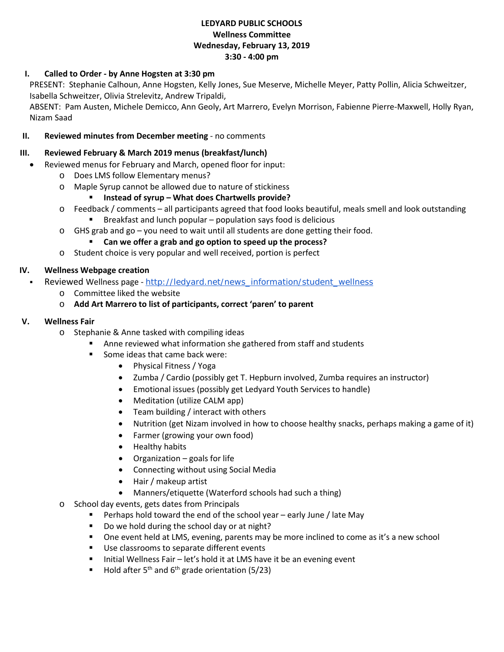## **LEDYARD PUBLIC SCHOOLS Wellness Committee Wednesday, February 13, 2019 3:30 - 4:00 pm**

# **I. Called to Order - by Anne Hogsten at 3:30 pm**

PRESENT: Stephanie Calhoun, Anne Hogsten, Kelly Jones, Sue Meserve, Michelle Meyer, Patty Pollin, Alicia Schweitzer, Isabella Schweitzer, Olivia Strelevitz, Andrew Tripaldi,

ABSENT: Pam Austen, Michele Demicco, Ann Geoly, Art Marrero, Evelyn Morrison, Fabienne Pierre-Maxwell, Holly Ryan, Nizam Saad

### **II. Reviewed minutes from December meeting** - no comments

#### **III. Reviewed February & March 2019 menus (breakfast/lunch)**

- Reviewed menus for February and March, opened floor for input:
	- o Does LMS follow Elementary menus?
	- o Maple Syrup cannot be allowed due to nature of stickiness
		- **Instead of syrup – What does Chartwells provide?**
	- o Feedback / comments all participants agreed that food looks beautiful, meals smell and look outstanding
		- **Breakfast and lunch popular population says food is delicious**
	- o GHS grab and go you need to wait until all students are done getting their food.

**Can we offer a grab and go option to speed up the process?**

o Student choice is very popular and well received, portion is perfect

# **IV. Wellness Webpage creation**

- Reviewed Wellness page [http://ledyard.net/news\\_information/student\\_wellness](http://ledyard.net/news_information/student_wellness)
	- o Committee liked the website
	- o **Add Art Marrero to list of participants, correct 'paren' to parent**

### **V. Wellness Fair**

- o Stephanie & Anne tasked with compiling ideas
	- **EXTER Anne reviewed what information she gathered from staff and students**
	- Some ideas that came back were:
		- Physical Fitness / Yoga
		- Zumba / Cardio (possibly get T. Hepburn involved, Zumba requires an instructor)
		- Emotional issues (possibly get Ledyard Youth Services to handle)
		- Meditation (utilize CALM app)
		- Team building / interact with others
		- Nutrition (get Nizam involved in how to choose healthy snacks, perhaps making a game of it)
		- Farmer (growing your own food)
		- Healthy habits
		- Organization goals for life
		- Connecting without using Social Media
		- Hair / makeup artist
		- Manners/etiquette (Waterford schools had such a thing)
- o School day events, gets dates from Principals
	- Perhaps hold toward the end of the school year  $-$  early June / late May
	- Do we hold during the school day or at night?
	- One event held at LMS, evening, parents may be more inclined to come as it's a new school
	- Use classrooms to separate different events
	- $\blacksquare$  Initial Wellness Fair let's hold it at LMS have it be an evening event
	- Hold after  $5<sup>th</sup>$  and  $6<sup>th</sup>$  grade orientation (5/23)